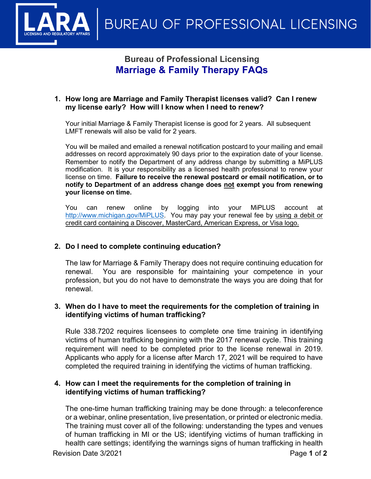

# **Bureau of Professional Licensing Marriage & Family Therapy FAQs**

#### **1. How long are Marriage and Family Therapist licenses valid? Can I renew my license early? How will I know when I need to renew?**

Your initial Marriage & Family Therapist license is good for 2 years. All subsequent LMFT renewals will also be valid for 2 years.

You will be mailed and emailed a renewal notification postcard to your mailing and email addresses on record approximately 90 days prior to the expiration date of your license. Remember to notify the Department of any address change by submitting a MiPLUS modification. It is your responsibility as a licensed health professional to renew your license on time. **Failure to receive the renewal postcard or email notification, or to notify to Department of an address change does not exempt you from renewing your license on time.**

You can renew online by logging into your MiPLUS account at [http://www.michigan.gov/MiPLUS.](http://www.michigan.gov/MiPLUS) You may pay your renewal fee by using a debit or credit card containing a Discover, MasterCard, American Express, or Visa logo.

### **2. Do I need to complete continuing education?**

The law for Marriage & Family Therapy does not require continuing education for renewal. You are responsible for maintaining your competence in your profession, but you do not have to demonstrate the ways you are doing that for renewal.

### **3. When do I have to meet the requirements for the completion of training in identifying victims of human trafficking?**

Rule 338.7202 requires licensees to complete one time training in identifying victims of human trafficking beginning with the 2017 renewal cycle. This training requirement will need to be completed prior to the license renewal in 2019. Applicants who apply for a license after March 17, 2021 will be required to have completed the required training in identifying the victims of human trafficking.

### **4. How can I meet the requirements for the completion of training in identifying victims of human trafficking?**

The one-time human trafficking training may be done through: a teleconference or a webinar, online presentation, live presentation, or printed or electronic media. The training must cover all of the following: understanding the types and venues of human trafficking in MI or the US; identifying victims of human trafficking in health care settings; identifying the warnings signs of human trafficking in health

Revision Date 3/2021 **Page 1** of 2